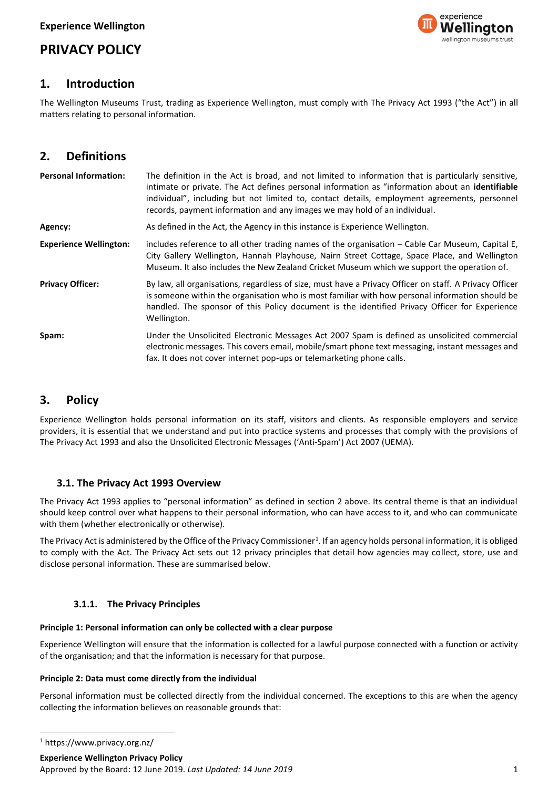# **PRIVACY POLICY**



# **1. Introduction**

The Wellington Museums Trust, trading as Experience Wellington, must comply with The Privacy Act 1993 ("the Act") in all matters relating to personal information.

# **2. Definitions**

| <b>Personal Information:</b>  | The definition in the Act is broad, and not limited to information that is particularly sensitive,<br>intimate or private. The Act defines personal information as "information about an identifiable<br>individual", including but not limited to, contact details, employment agreements, personnel<br>records, payment information and any images we may hold of an individual. |
|-------------------------------|------------------------------------------------------------------------------------------------------------------------------------------------------------------------------------------------------------------------------------------------------------------------------------------------------------------------------------------------------------------------------------|
| Agency:                       | As defined in the Act, the Agency in this instance is Experience Wellington.                                                                                                                                                                                                                                                                                                       |
| <b>Experience Wellington:</b> | includes reference to all other trading names of the organisation $-$ Cable Car Museum, Capital E,<br>City Gallery Wellington, Hannah Playhouse, Nairn Street Cottage, Space Place, and Wellington<br>Museum. It also includes the New Zealand Cricket Museum which we support the operation of.                                                                                   |
| <b>Privacy Officer:</b>       | By law, all organisations, regardless of size, must have a Privacy Officer on staff. A Privacy Officer<br>is someone within the organisation who is most familiar with how personal information should be<br>handled. The sponsor of this Policy document is the identified Privacy Officer for Experience<br>Wellington.                                                          |
| Spam:                         | Under the Unsolicited Electronic Messages Act 2007 Spam is defined as unsolicited commercial<br>electronic messages. This covers email, mobile/smart phone text messaging, instant messages and<br>fax. It does not cover internet pop-ups or telemarketing phone calls.                                                                                                           |

# **3. Policy**

Experience Wellington holds personal information on its staff, visitors and clients. As responsible employers and service providers, it is essential that we understand and put into practice systems and processes that comply with the provisions of The Privacy Act 1993 and also the Unsolicited Electronic Messages ('Anti-Spam') Act 2007 (UEMA).

## **3.1. The Privacy Act 1993 Overview**

The Privacy Act 1993 applies to "personal information" as defined in section 2 above. Its central theme is that an individual should keep control over what happens to their personal information, who can have access to it, and who can communicate with them (whether electronically or otherwise).

The Privacy Act is administered by the Office of the Privacy Commissioner<sup>1</sup>. If an agency holds personal information, it is obliged to comply with the Act. The Privacy Act sets out 12 privacy principles that detail how agencies may collect, store, use and disclose personal information. These are summarised below.

## **3.1.1. The Privacy Principles**

## **Principle 1: Personal information can only be collected with a clear purpose**

Experience Wellington will ensure that the information is collected for a lawful purpose connected with a function or activity of the organisation; and that the information is necessary for that purpose.

## **Principle 2: Data must come directly from the individual**

Personal information must be collected directly from the individual concerned. The exceptions to this are when the agency collecting the information believes on reasonable grounds that:

**Experience Wellington Privacy Policy** 

Approved by the Board: 12 June 2019. *Last Updated: 14 June 2019* 1

<sup>1</sup> https://www.privacy.org.nz/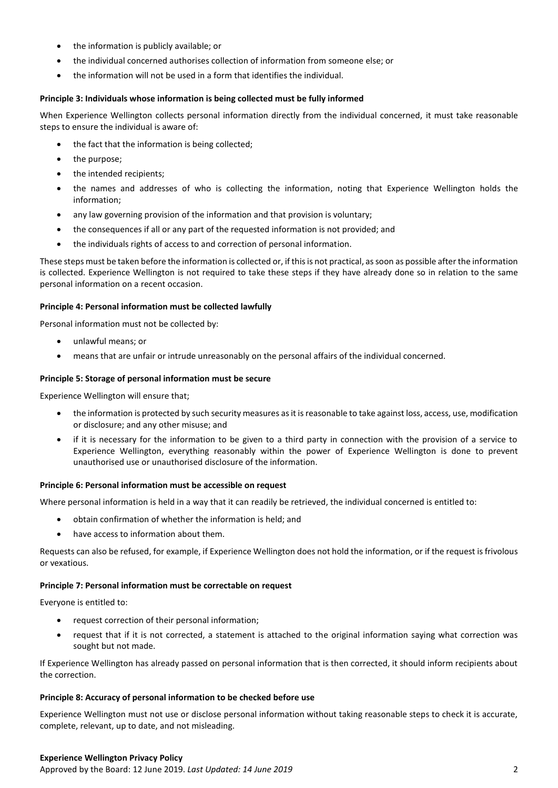- the information is publicly available; or
- the individual concerned authorises collection of information from someone else; or
- the information will not be used in a form that identifies the individual.

#### **Principle 3: Individuals whose information is being collected must be fully informed**

When Experience Wellington collects personal information directly from the individual concerned, it must take reasonable steps to ensure the individual is aware of:

- the fact that the information is being collected;
- the purpose;
- the intended recipients;
- the names and addresses of who is collecting the information, noting that Experience Wellington holds the information;
- any law governing provision of the information and that provision is voluntary;
- the consequences if all or any part of the requested information is not provided; and
- the individuals rights of access to and correction of personal information.

These steps must be taken before the information is collected or, if this is not practical, as soon as possible after the information is collected. Experience Wellington is not required to take these steps if they have already done so in relation to the same personal information on a recent occasion.

#### **Principle 4: Personal information must be collected lawfully**

Personal information must not be collected by:

- unlawful means; or
- means that are unfair or intrude unreasonably on the personal affairs of the individual concerned.

#### **Principle 5: Storage of personal information must be secure**

Experience Wellington will ensure that;

- the information is protected by such security measures as it is reasonable to take against loss, access, use, modification or disclosure; and any other misuse; and
- if it is necessary for the information to be given to a third party in connection with the provision of a service to Experience Wellington, everything reasonably within the power of Experience Wellington is done to prevent unauthorised use or unauthorised disclosure of the information.

#### **Principle 6: Personal information must be accessible on request**

Where personal information is held in a way that it can readily be retrieved, the individual concerned is entitled to:

- obtain confirmation of whether the information is held; and
- have access to information about them.

Requests can also be refused, for example, if Experience Wellington does not hold the information, or if the request is frivolous or vexatious.

#### **Principle 7: Personal information must be correctable on request**

Everyone is entitled to:

- request correction of their personal information;
- request that if it is not corrected, a statement is attached to the original information saying what correction was sought but not made.

If Experience Wellington has already passed on personal information that is then corrected, it should inform recipients about the correction.

#### **Principle 8: Accuracy of personal information to be checked before use**

Experience Wellington must not use or disclose personal information without taking reasonable steps to check it is accurate, complete, relevant, up to date, and not misleading.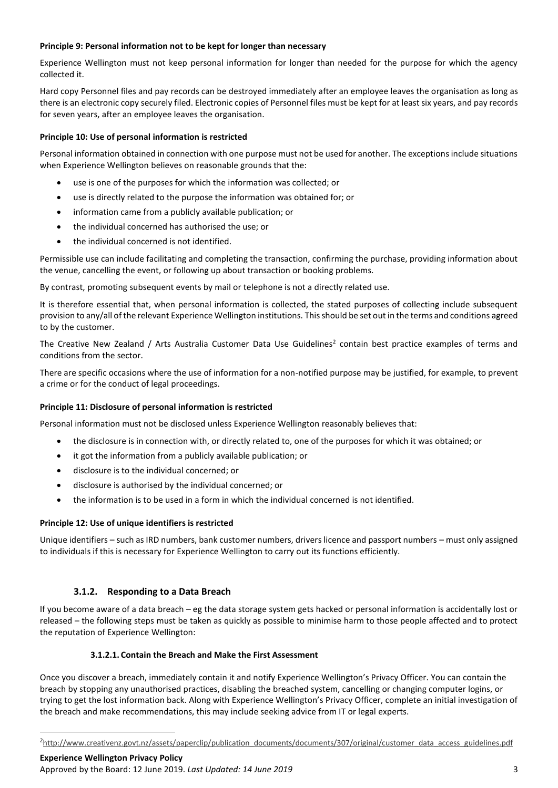### **Principle 9: Personal information not to be kept for longer than necessary**

Experience Wellington must not keep personal information for longer than needed for the purpose for which the agency collected it.

Hard copy Personnel files and pay records can be destroyed immediately after an employee leaves the organisation as long as there is an electronic copy securely filed. Electronic copies of Personnel files must be kept for at least six years, and pay records for seven years, after an employee leaves the organisation.

### **Principle 10: Use of personal information is restricted**

Personal information obtained in connection with one purpose must not be used for another. The exceptions include situations when Experience Wellington believes on reasonable grounds that the:

- use is one of the purposes for which the information was collected; or
- use is directly related to the purpose the information was obtained for; or
- information came from a publicly available publication; or
- the individual concerned has authorised the use; or
- the individual concerned is not identified.

Permissible use can include facilitating and completing the transaction, confirming the purchase, providing information about the venue, cancelling the event, or following up about transaction or booking problems.

By contrast, promoting subsequent events by mail or telephone is not a directly related use.

It is therefore essential that, when personal information is collected, the stated purposes of collecting include subsequent provision to any/all of the relevant Experience Wellington institutions. This should be set out in the terms and conditions agreed to by the customer.

The Creative New Zealand / Arts Australia Customer Data Use Guidelines<sup>2</sup> contain best practice examples of terms and conditions from the sector.

There are specific occasions where the use of information for a non-notified purpose may be justified, for example, to prevent a crime or for the conduct of legal proceedings.

#### **Principle 11: Disclosure of personal information is restricted**

Personal information must not be disclosed unless Experience Wellington reasonably believes that:

- the disclosure is in connection with, or directly related to, one of the purposes for which it was obtained; or
- it got the information from a publicly available publication; or
- disclosure is to the individual concerned; or
- disclosure is authorised by the individual concerned; or
- the information is to be used in a form in which the individual concerned is not identified.

#### **Principle 12: Use of unique identifiers is restricted**

Unique identifiers – such as IRD numbers, bank customer numbers, drivers licence and passport numbers – must only assigned to individuals if this is necessary for Experience Wellington to carry out its functions efficiently.

## **3.1.2. Responding to a Data Breach**

If you become aware of a data breach – eg the data storage system gets hacked or personal information is accidentally lost or released – the following steps must be taken as quickly as possible to minimise harm to those people affected and to protect the reputation of Experience Wellington:

#### **3.1.2.1. Contain the Breach and Make the First Assessment**

Once you discover a breach, immediately contain it and notify Experience Wellington's Privacy Officer. You can contain the breach by stopping any unauthorised practices, disabling the breached system, cancelling or changing computer logins, or trying to get the lost information back. Along with Experience Wellington's Privacy Officer, complete an initial investigation of the breach and make recommendations, this may include seeking advice from IT or legal experts.

<sup>&</sup>lt;sup>2</sup>[http://www.creativenz.govt.nz/assets/paperclip/publication\\_documents/documents/307/original/customer\\_data\\_access\\_guidelines.pdf](http://www.creativenz.govt.nz/assets/paperclip/publication_documents/documents/307/original/customer_data_access_guidelines.pdf)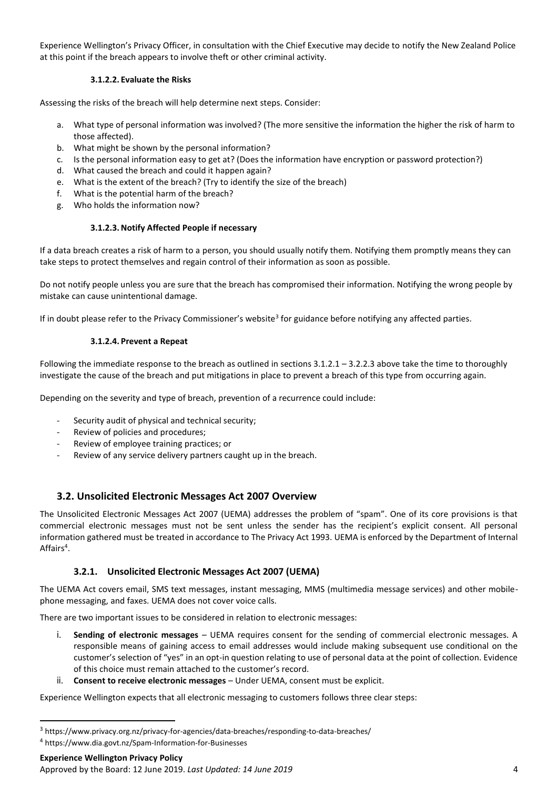Experience Wellington's Privacy Officer, in consultation with the Chief Executive may decide to notify the New Zealand Police at this point if the breach appears to involve theft or other criminal activity.

## **3.1.2.2. Evaluate the Risks**

Assessing the risks of the breach will help determine next steps. Consider:

- a. What type of personal information was involved? (The more sensitive the information the higher the risk of harm to those affected).
- b. What might be shown by the personal information?
- c. Is the personal information easy to get at? (Does the information have encryption or password protection?)
- d. What caused the breach and could it happen again?
- e. What is the extent of the breach? (Try to identify the size of the breach)
- f. What is the potential harm of the breach?
- g. Who holds the information now?

### **3.1.2.3.Notify Affected People if necessary**

If a data breach creates a risk of harm to a person, you should usually notify them. Notifying them promptly means they can take steps to protect themselves and regain control of their information as soon as possible.

Do not notify people unless you are sure that the breach has compromised their information. Notifying the wrong people by mistake can cause unintentional damage.

If in doubt please refer to the Privacy Commissioner's website<sup>3</sup> for guidance before notifying any affected parties.

### **3.1.2.4. Prevent a Repeat**

Following the immediate response to the breach as outlined in sections  $3.1.2.1 - 3.2.2.3$  above take the time to thoroughly investigate the cause of the breach and put mitigations in place to prevent a breach of this type from occurring again.

Depending on the severity and type of breach, prevention of a recurrence could include:

- Security audit of physical and technical security;
- Review of policies and procedures;
- Review of employee training practices; or
- Review of any service delivery partners caught up in the breach.

## **3.2. Unsolicited Electronic Messages Act 2007 Overview**

The Unsolicited Electronic Messages Act 2007 (UEMA) addresses the problem of "spam". One of its core provisions is that commercial electronic messages must not be sent unless the sender has the recipient's explicit consent. All personal information gathered must be treated in accordance to The Privacy Act 1993. UEMA is enforced by the Department of Internal Affairs<sup>4</sup>.

## **3.2.1. Unsolicited Electronic Messages Act 2007 (UEMA)**

The UEMA Act covers email, SMS text messages, instant messaging, MMS (multimedia message services) and other mobilephone messaging, and faxes. UEMA does not cover voice calls.

There are two important issues to be considered in relation to electronic messages:

- i. **Sending of electronic messages** UEMA requires consent for the sending of commercial electronic messages. A responsible means of gaining access to email addresses would include making subsequent use conditional on the customer's selection of "yes" in an opt-in question relating to use of personal data at the point of collection. Evidence of this choice must remain attached to the customer's record.
- Consent to receive electronic messages Under UEMA, consent must be explicit.

Experience Wellington expects that all electronic messaging to customers follows three clear steps:

 $\overline{a}$ 

<sup>3</sup> https://www.privacy.org.nz/privacy-for-agencies/data-breaches/responding-to-data-breaches/

<sup>4</sup> https://www.dia.govt.nz/Spam-Information-for-Businesses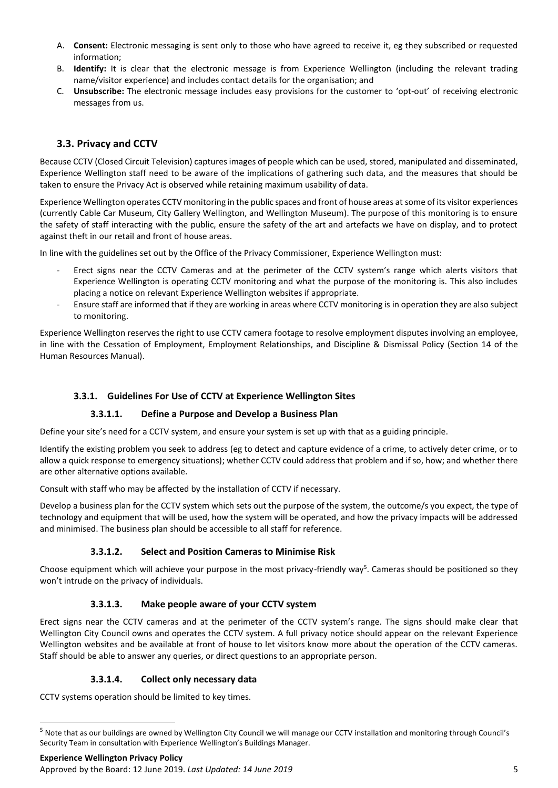- A. **Consent:** Electronic messaging is sent only to those who have agreed to receive it, eg they subscribed or requested information;
- B. **Identify:** It is clear that the electronic message is from Experience Wellington (including the relevant trading name/visitor experience) and includes contact details for the organisation; and
- C. **Unsubscribe:** The electronic message includes easy provisions for the customer to 'opt-out' of receiving electronic messages from us.

# **3.3. Privacy and CCTV**

Because CCTV (Closed Circuit Television) captures images of people which can be used, stored, manipulated and disseminated, Experience Wellington staff need to be aware of the implications of gathering such data, and the measures that should be taken to ensure the Privacy Act is observed while retaining maximum usability of data.

Experience Wellington operates CCTV monitoring in the public spaces and front of house areas at some of its visitor experiences (currently Cable Car Museum, City Gallery Wellington, and Wellington Museum). The purpose of this monitoring is to ensure the safety of staff interacting with the public, ensure the safety of the art and artefacts we have on display, and to protect against theft in our retail and front of house areas.

In line with the guidelines set out by the Office of the Privacy Commissioner, Experience Wellington must:

- Erect signs near the CCTV Cameras and at the perimeter of the CCTV system's range which alerts visitors that Experience Wellington is operating CCTV monitoring and what the purpose of the monitoring is. This also includes placing a notice on relevant Experience Wellington websites if appropriate.
- Ensure staff are informed that if they are working in areas where CCTV monitoring is in operation they are also subject to monitoring.

Experience Wellington reserves the right to use CCTV camera footage to resolve employment disputes involving an employee, in line with the Cessation of Employment, Employment Relationships, and Discipline & Dismissal Policy (Section 14 of the Human Resources Manual).

## **3.3.1. Guidelines For Use of CCTV at Experience Wellington Sites**

## **3.3.1.1. Define a Purpose and Develop a Business Plan**

Define your site's need for a CCTV system, and ensure your system is set up with that as a guiding principle.

Identify the existing problem you seek to address (eg to detect and capture evidence of a crime, to actively deter crime, or to allow a quick response to emergency situations); whether CCTV could address that problem and if so, how; and whether there are other alternative options available.

Consult with staff who may be affected by the installation of CCTV if necessary.

Develop a business plan for the CCTV system which sets out the purpose of the system, the outcome/s you expect, the type of technology and equipment that will be used, how the system will be operated, and how the privacy impacts will be addressed and minimised. The business plan should be accessible to all staff for reference.

## **3.3.1.2. Select and Position Cameras to Minimise Risk**

Choose equipment which will achieve your purpose in the most privacy-friendly way<sup>5</sup>. Cameras should be positioned so they won't intrude on the privacy of individuals.

## **3.3.1.3. Make people aware of your CCTV system**

Erect signs near the CCTV cameras and at the perimeter of the CCTV system's range. The signs should make clear that Wellington City Council owns and operates the CCTV system. A full privacy notice should appear on the relevant Experience Wellington websites and be available at front of house to let visitors know more about the operation of the CCTV cameras. Staff should be able to answer any queries, or direct questions to an appropriate person.

## **3.3.1.4. Collect only necessary data**

CCTV systems operation should be limited to key times.

<sup>5</sup> Note that as our buildings are owned by Wellington City Council we will manage our CCTV installation and monitoring through Council's Security Team in consultation with Experience Wellington's Buildings Manager.